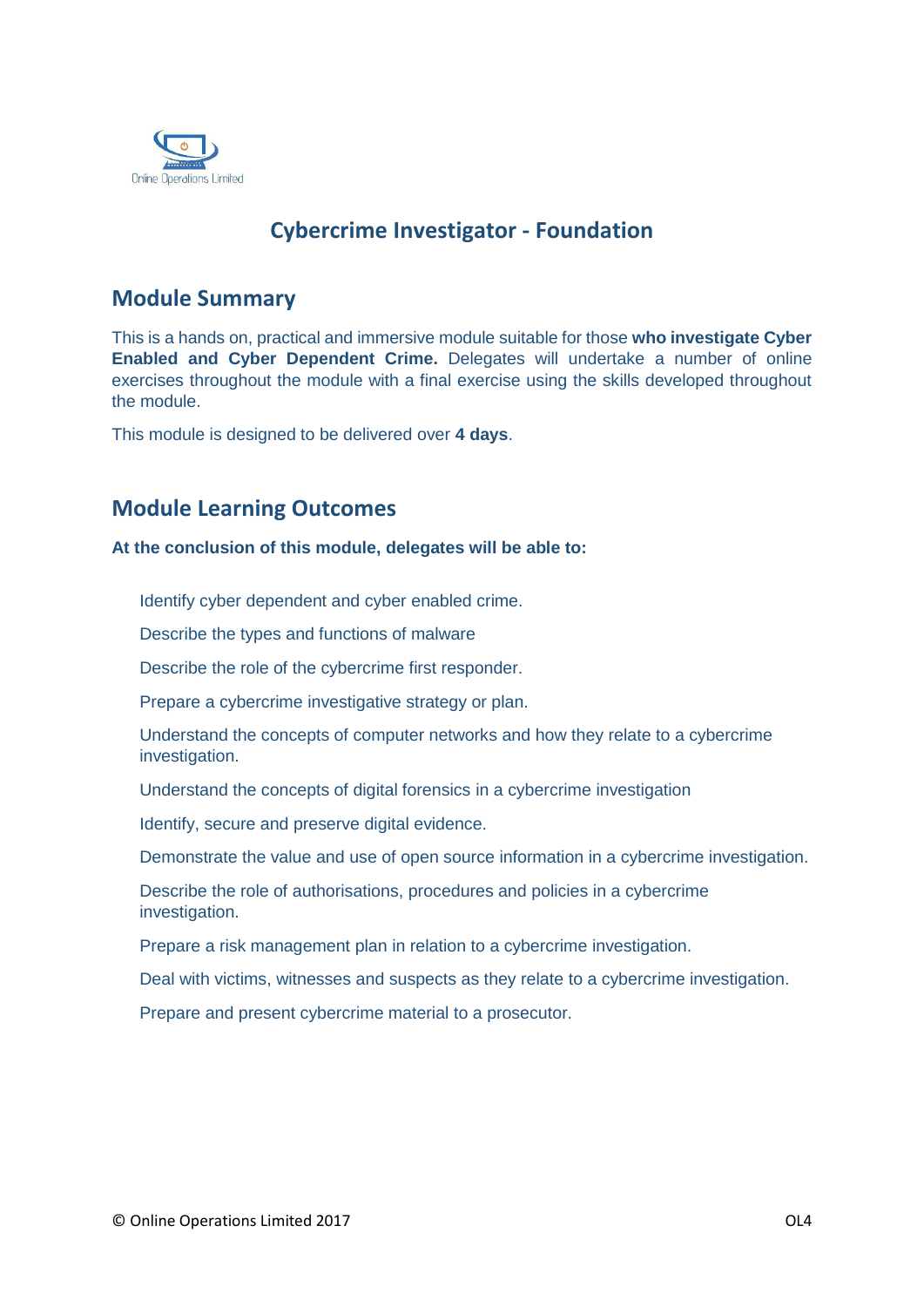

# **Cybercrime Investigator - Foundation**

## **Module Summary**

This is a hands on, practical and immersive module suitable for those **who investigate Cyber Enabled and Cyber Dependent Crime.** Delegates will undertake a number of online exercises throughout the module with a final exercise using the skills developed throughout the module.

This module is designed to be delivered over **4 days**.

## **Module Learning Outcomes**

#### **At the conclusion of this module, delegates will be able to:**

Identify cyber dependent and cyber enabled crime.

Describe the types and functions of malware

Describe the role of the cybercrime first responder.

Prepare a cybercrime investigative strategy or plan.

Understand the concepts of computer networks and how they relate to a cybercrime investigation.

Understand the concepts of digital forensics in a cybercrime investigation

Identify, secure and preserve digital evidence.

Demonstrate the value and use of open source information in a cybercrime investigation.

Describe the role of authorisations, procedures and policies in a cybercrime investigation.

Prepare a risk management plan in relation to a cybercrime investigation.

Deal with victims, witnesses and suspects as they relate to a cybercrime investigation.

Prepare and present cybercrime material to a prosecutor.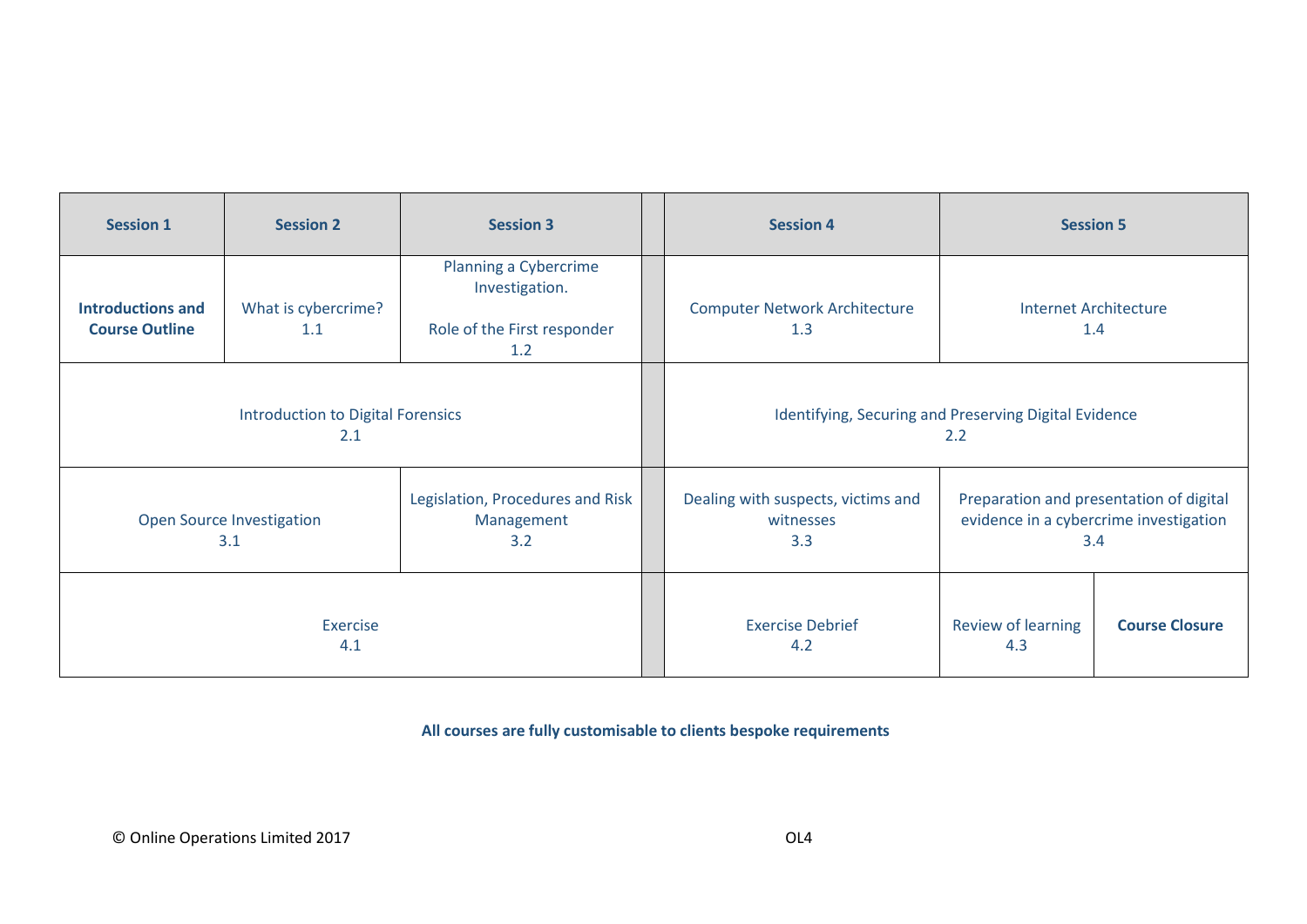| <b>Session 1</b>                                  | <b>Session 2</b>           | <b>Session 3</b>                                                              | <b>Session 4</b>                                             | <b>Session 5</b>                                                                         |                       |
|---------------------------------------------------|----------------------------|-------------------------------------------------------------------------------|--------------------------------------------------------------|------------------------------------------------------------------------------------------|-----------------------|
| <b>Introductions and</b><br><b>Course Outline</b> | What is cybercrime?<br>1.1 | Planning a Cybercrime<br>Investigation.<br>Role of the First responder<br>1.2 | <b>Computer Network Architecture</b><br>1.3                  | <b>Internet Architecture</b><br>1.4                                                      |                       |
| <b>Introduction to Digital Forensics</b><br>2.1   |                            |                                                                               | Identifying, Securing and Preserving Digital Evidence<br>2.2 |                                                                                          |                       |
| Open Source Investigation<br>3.1                  |                            | Legislation, Procedures and Risk<br>Management<br>3.2                         | Dealing with suspects, victims and<br>witnesses<br>3.3       | Preparation and presentation of digital<br>evidence in a cybercrime investigation<br>3.4 |                       |
| Exercise<br>4.1                                   |                            |                                                                               | <b>Exercise Debrief</b><br>4.2                               | Review of learning<br>4.3                                                                | <b>Course Closure</b> |

**All courses are fully customisable to clients bespoke requirements**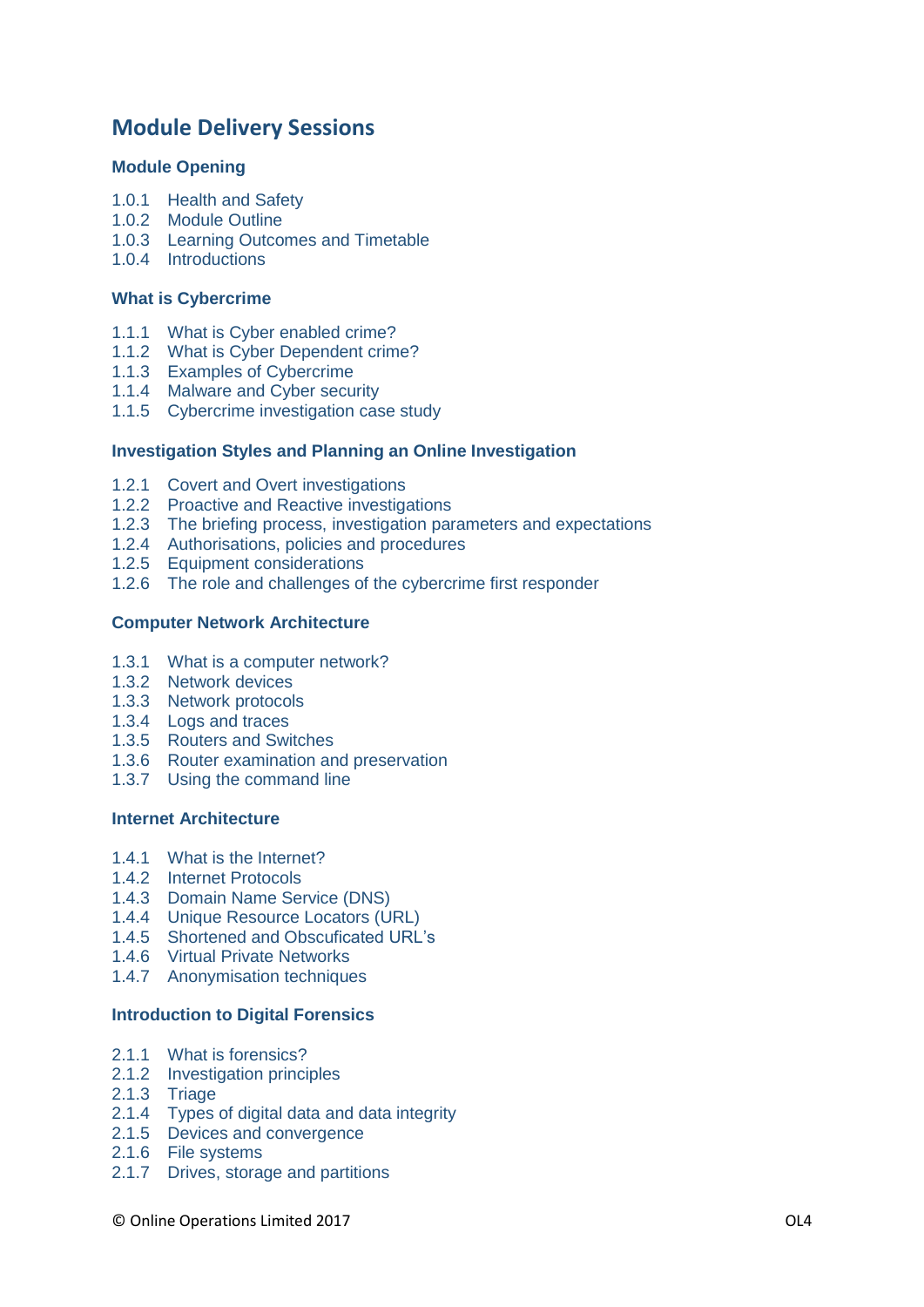## **Module Delivery Sessions**

### **Module Opening**

- 1.0.1 Health and Safety
- 1.0.2 Module Outline
- 1.0.3 Learning Outcomes and Timetable
- 1.0.4 Introductions

#### **What is Cybercrime**

- 1.1.1 What is Cyber enabled crime?
- 1.1.2 What is Cyber Dependent crime?
- 1.1.3 Examples of Cybercrime
- 1.1.4 Malware and Cyber security
- 1.1.5 Cybercrime investigation case study

## **Investigation Styles and Planning an Online Investigation**

- 1.2.1 Covert and Overt investigations
- 1.2.2 Proactive and Reactive investigations
- 1.2.3 The briefing process, investigation parameters and expectations
- 1.2.4 Authorisations, policies and procedures
- 1.2.5 Equipment considerations
- 1.2.6 The role and challenges of the cybercrime first responder

#### **Computer Network Architecture**

- 1.3.1 What is a computer network?
- 1.3.2 Network devices
- 1.3.3 Network protocols
- 1.3.4 Logs and traces
- 1.3.5 Routers and Switches
- 1.3.6 Router examination and preservation
- 1.3.7 Using the command line

#### **Internet Architecture**

- 1.4.1 What is the Internet?
- 1.4.2 Internet Protocols
- 1.4.3 Domain Name Service (DNS)
- 1.4.4 Unique Resource Locators (URL)
- 1.4.5 Shortened and Obscuficated URL's
- 1.4.6 Virtual Private Networks
- 1.4.7 Anonymisation techniques

#### **Introduction to Digital Forensics**

- 2.1.1 What is forensics?
- 2.1.2 Investigation principles
- 2.1.3 Triage
- 2.1.4 Types of digital data and data integrity
- 2.1.5 Devices and convergence
- 2.1.6 File systems
- 2.1.7 Drives, storage and partitions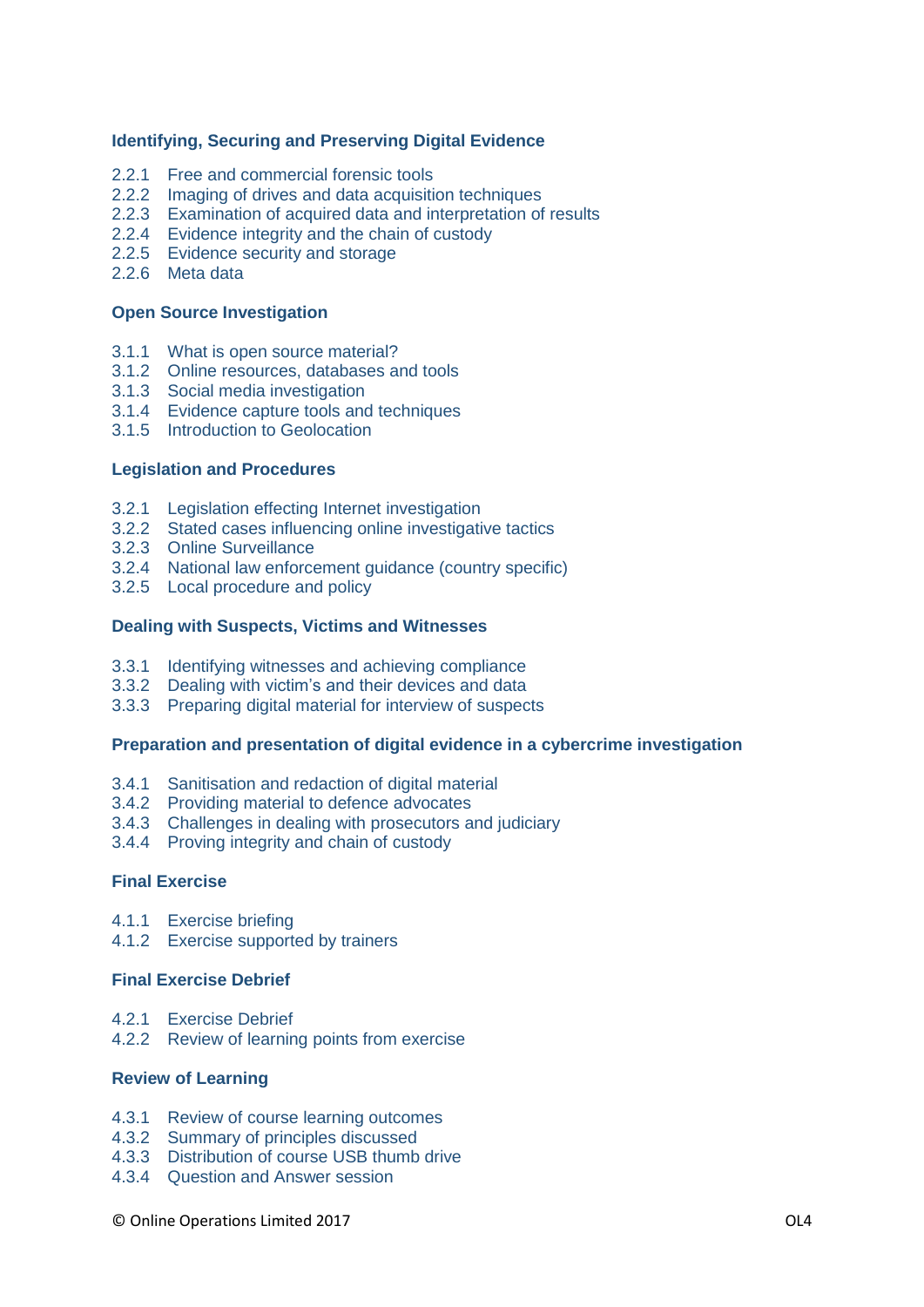### **Identifying, Securing and Preserving Digital Evidence**

- 2.2.1 Free and commercial forensic tools
- 2.2.2 Imaging of drives and data acquisition techniques
- 2.2.3 Examination of acquired data and interpretation of results
- 2.2.4 Evidence integrity and the chain of custody
- 2.2.5 Evidence security and storage
- 2.2.6 Meta data

#### **Open Source Investigation**

- 3.1.1 What is open source material?
- 3.1.2 Online resources, databases and tools
- 3.1.3 Social media investigation
- 3.1.4 Evidence capture tools and techniques
- 3.1.5 Introduction to Geolocation

### **Legislation and Procedures**

- 3.2.1 Legislation effecting Internet investigation
- 3.2.2 Stated cases influencing online investigative tactics
- 3.2.3 Online Surveillance
- 3.2.4 National law enforcement guidance (country specific)
- 3.2.5 Local procedure and policy

#### **Dealing with Suspects, Victims and Witnesses**

- 3.3.1 Identifying witnesses and achieving compliance
- 3.3.2 Dealing with victim's and their devices and data
- 3.3.3 Preparing digital material for interview of suspects

#### **Preparation and presentation of digital evidence in a cybercrime investigation**

- 3.4.1 Sanitisation and redaction of digital material
- 3.4.2 Providing material to defence advocates
- 3.4.3 Challenges in dealing with prosecutors and judiciary
- 3.4.4 Proving integrity and chain of custody

## **Final Exercise**

- 4.1.1 Exercise briefing
- 4.1.2 Exercise supported by trainers

## **Final Exercise Debrief**

- 4.2.1 Exercise Debrief
- 4.2.2 Review of learning points from exercise

#### **Review of Learning**

- 4.3.1 Review of course learning outcomes
- 4.3.2 Summary of principles discussed
- 4.3.3 Distribution of course USB thumb drive
- 4.3.4 Question and Answer session

#### © Online Operations Limited 2017 OL4